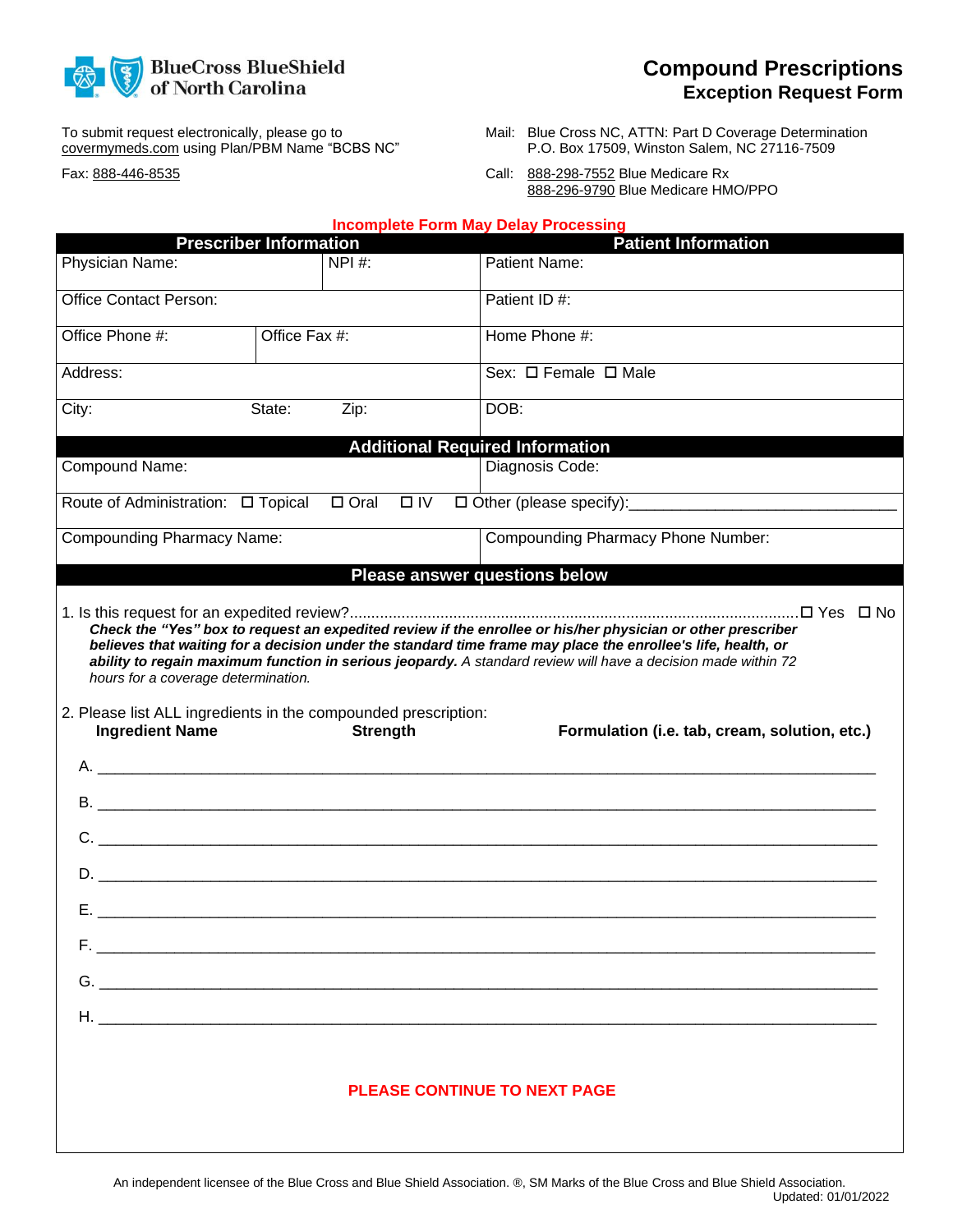

To submit request electronically, please go to covermymeds.com using Plan/PBM Name "BCBS NC"

Fax: 888-446-8535

- Mail: Blue Cross NC, ATTN: Part D Coverage Determination P.O. Box 17509, Winston Salem, NC 27116-7509
- Call: 888-298-7552 Blue Medicare Rx 888-296-9790 Blue Medicare HMO/PPO

| <b>Incomplete Form May Delay Processing</b>                                                                                                                                                                                                                                                                                                                                                                                                           |                               |  |                                               |
|-------------------------------------------------------------------------------------------------------------------------------------------------------------------------------------------------------------------------------------------------------------------------------------------------------------------------------------------------------------------------------------------------------------------------------------------------------|-------------------------------|--|-----------------------------------------------|
|                                                                                                                                                                                                                                                                                                                                                                                                                                                       | <b>Prescriber Information</b> |  | <b>Patient Information</b>                    |
| Physician Name:                                                                                                                                                                                                                                                                                                                                                                                                                                       | NPI#:                         |  | Patient Name:                                 |
| <b>Office Contact Person:</b>                                                                                                                                                                                                                                                                                                                                                                                                                         |                               |  | Patient ID#:                                  |
| Office Phone #:<br>Office Fax #:                                                                                                                                                                                                                                                                                                                                                                                                                      |                               |  | Home Phone #:                                 |
| Address:                                                                                                                                                                                                                                                                                                                                                                                                                                              |                               |  |                                               |
| City:<br>Zip:<br>State:                                                                                                                                                                                                                                                                                                                                                                                                                               |                               |  | DOB:                                          |
|                                                                                                                                                                                                                                                                                                                                                                                                                                                       |                               |  | <b>Additional Required Information</b>        |
| Compound Name:                                                                                                                                                                                                                                                                                                                                                                                                                                        |                               |  | Diagnosis Code:                               |
| $\Box$ Oral<br>$\Box$ IV                                                                                                                                                                                                                                                                                                                                                                                                                              |                               |  |                                               |
| <b>Compounding Pharmacy Name:</b>                                                                                                                                                                                                                                                                                                                                                                                                                     |                               |  | Compounding Pharmacy Phone Number:            |
| Please answer questions below                                                                                                                                                                                                                                                                                                                                                                                                                         |                               |  |                                               |
| Check the "Yes" box to request an expedited review if the enrollee or his/her physician or other prescriber<br>believes that waiting for a decision under the standard time frame may place the enrollee's life, health, or<br>ability to regain maximum function in serious jeopardy. A standard review will have a decision made within 72<br>hours for a coverage determination.<br>2. Please list ALL ingredients in the compounded prescription: |                               |  |                                               |
| <b>Ingredient Name</b>                                                                                                                                                                                                                                                                                                                                                                                                                                | <b>Strength</b>               |  | Formulation (i.e. tab, cream, solution, etc.) |
|                                                                                                                                                                                                                                                                                                                                                                                                                                                       |                               |  |                                               |
| C.                                                                                                                                                                                                                                                                                                                                                                                                                                                    |                               |  |                                               |
| <u> 2000 - Jan James James Barnett, amerikan basar pada 2000 - Jan James James James James James James James Jam</u><br>D.                                                                                                                                                                                                                                                                                                                            |                               |  |                                               |
| Е.                                                                                                                                                                                                                                                                                                                                                                                                                                                    |                               |  |                                               |
|                                                                                                                                                                                                                                                                                                                                                                                                                                                       |                               |  |                                               |
|                                                                                                                                                                                                                                                                                                                                                                                                                                                       |                               |  |                                               |
|                                                                                                                                                                                                                                                                                                                                                                                                                                                       |                               |  |                                               |
| <b>PLEASE CONTINUE TO NEXT PAGE</b>                                                                                                                                                                                                                                                                                                                                                                                                                   |                               |  |                                               |